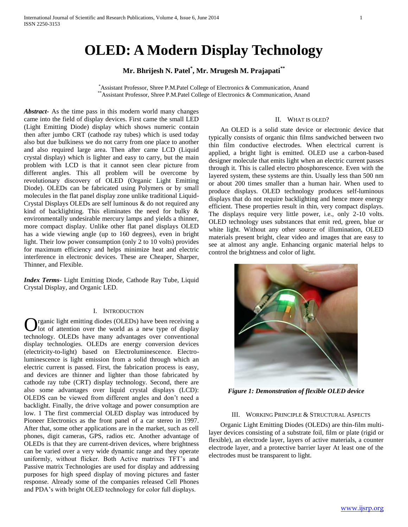# **OLED: A Modern Display Technology**

# **Mr. Bhrijesh N. Patel\* , Mr. Mrugesh M. Prajapati\*\***

\*Assistant Professor, Shree P.M.Patel College of Electronics & Communication, Anand \*\*Assistant Professor, Shree P.M.Patel College of Electronics & Communication, Anand

*Abstract***-** As the time pass in this modern world many changes came into the field of display devices. First came the small LED (Light Emitting Diode) display which shows numeric contain then after jumbo CRT (cathode ray tubes) which is used today also but due bulkiness we do not carry from one place to another and also required large area. Then after came LCD (Liquid crystal display) which is lighter and easy to carry, but the main problem with LCD is that it cannot seen clear picture from different angles. This all problem will be overcome by revolutionary discovery of OLED (Organic Light Emitting Diode). OLEDs can be fabricated using Polymers or by small molecules in the flat panel display zone unlike traditional Liquid-Crystal Displays OLEDs are self luminous & do not required any kind of backlighting. This eliminates the need for bulky & environmentally undesirable mercury lamps and yields a thinner, more compact display. Unlike other flat panel displays OLED has a wide viewing angle (up to 160 degrees), even in bright light. Their low power consumption (only 2 to 10 volts) provides for maximum efficiency and helps minimize heat and electric interference in electronic devices. These are Cheaper, Sharper, Thinner, and Flexible.

*Index Terms*- Light Emitting Diode, Cathode Ray Tube, Liquid Crystal Display, and Organic LED.

### I. INTRODUCTION

rganic light emitting diodes (OLEDs) have been receiving a lot of attention over the world as a new type of display **C** rganic light emitting diodes (OLEDs) have been receiving a lot of attention over the world as a new type of display technology. OLEDs have many advantages over conventional display technologies. OLEDs are energy conversion devices (electricity-to-light) based on Electroluminescence. Electroluminescence is light emission from a solid through which an electric current is passed. First, the fabrication process is easy, and devices are thinner and lighter than those fabricated by cathode ray tube (CRT) display technology. Second, there are also some advantages over liquid crystal displays (LCD): OLEDS can be viewed from different angles and don't need a backlight. Finally, the drive voltage and power consumption are low. 1 The first commercial OLED display was introduced by Pioneer Electronics as the front panel of a car stereo in 1997. After that, some other applications are in the market, such as cell phones, digit cameras, GPS, radios etc. Another advantage of OLEDs is that they are current-driven devices, where brightness can be varied over a very wide dynamic range and they operate uniformly, without flicker. Both Active matrixes TFT's and Passive matrix Technologies are used for display and addressing purposes for high speed display of moving pictures and faster response. Already some of the companies released Cell Phones and PDA's with bright OLED technology for color full displays.

### II. WHAT IS OLED?

 An OLED is a solid state device or electronic device that typically consists of organic thin films sandwiched between two thin film conductive electrodes. When electrical current is applied, a bright light is emitted. OLED use a carbon-based designer molecule that emits light when an electric current passes through it. This is called electro phosphorescence. Even with the layered system, these systems are thin. Usually less than 500 nm or about 200 times smaller than a human hair. When used to produce displays. OLED technology produces self-luminous displays that do not require backlighting and hence more energy efficient. These properties result in thin, very compact displays. The displays require very little power, i.e., only 2-10 volts. OLED technology uses substances that emit red, green, blue or white light. Without any other source of illumination, OLED materials present bright, clear video and images that are easy to see at almost any angle. Enhancing organic material helps to control the brightness and color of light.



*Figure 1: Demonstration of flexible OLED device*

# III. WORKING PRINCIPLE & STRUCTURAL ASPECTS

 Organic Light Emitting Diodes (OLEDs) are thin-film multilayer devices consisting of a substrate foil, film or plate (rigid or flexible), an electrode layer, layers of active materials, a counter electrode layer, and a protective barrier layer At least one of the electrodes must be transparent to light.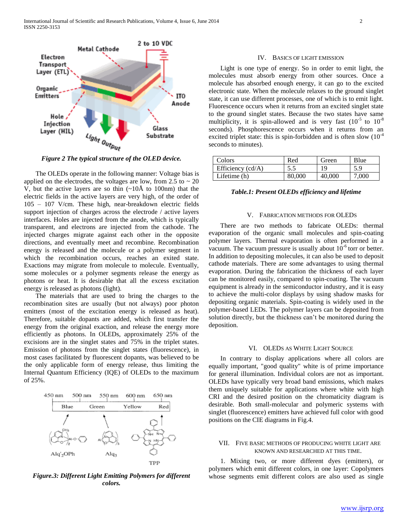

*Figure 2 The typical structure of the OLED device.*

 The OLEDs operate in the following manner: Voltage bias is applied on the electrodes, the voltages are low, from 2.5 to  $\sim$  20 V, but the active layers are so thin  $\sim 10$ Å to 100nm) that the electric fields in the active layers are very high, of the order of 105 – 107 V/cm. These high, near-breakdown electric fields support injection of charges across the electrode / active layers interfaces. Holes are injected from the anode, which is typically transparent, and electrons are injected from the cathode. The injected charges migrate against each other in the opposite directions, and eventually meet and recombine. Recombination energy is released and the molecule or a polymer segment in which the recombination occurs, reaches an exited state. Exactions may migrate from molecule to molecule. Eventually, some molecules or a polymer segments release the energy as photons or heat. It is desirable that all the excess excitation energy is released as photons (light).

 The materials that are used to bring the charges to the recombination sites are usually (but not always) poor photon emitters (most of the excitation energy is released as heat). Therefore, suitable dopants are added, which first transfer the energy from the original exaction, and release the energy more efficiently as photons. In OLEDs, approximately 25% of the excisions are in the singlet states and 75% in the triplet states. Emission of photons from the singlet states (fluorescence), in most cases facilitated by fluorescent dopants, was believed to be the only applicable form of energy release, thus limiting the Internal Quantum Efficiency (IQE) of OLEDs to the maximum of 25%.



*Figure.3: Different Light Emitting Polymers for different colors.*

#### IV. BASICS OF LIGHT EMISSION

 Light is one type of energy. So in order to emit light, the molecules must absorb energy from other sources. Once a molecule has absorbed enough energy, it can go to the excited electronic state. When the molecule relaxes to the ground singlet state, it can use different processes, one of which is to emit light. Fluorescence occurs when it returns from an excited singlet state to the ground singlet states. Because the two states have same multiplicity, it is spin-allowed and is very fast  $(10^{-5}$  to  $10^{-8}$ seconds). Phosphorescence occurs when it returns from an excited triplet state: this is spin-forbidden and is often slow  $(10^{-4}$ seconds to minutes).

| Colors              | Red    | Green  | Blue  |
|---------------------|--------|--------|-------|
| Efficiency $(cd/A)$ |        |        | 5.9   |
| Lifetime (h)        | 80,000 | 40,000 | 7,000 |

#### *Table.1: Present OLEDs efficiency and lifetime*

#### V. FABRICATION METHODS FOR OLEDS

 There are two methods to fabricate OLEDs: thermal evaporation of the organic small molecules and spin-coating polymer layers. Thermal evaporation is often performed in a vacuum. The vacuum pressure is usually about  $10^{-6}$  torr or better. In addition to depositing molecules, it can also be used to deposit cathode materials. There are some advantages to using thermal evaporation. During the fabrication the thickness of each layer can be monitored easily, compared to spin-coating. The vacuum equipment is already in the semiconductor industry, and it is easy to achieve the multi-color displays by using shadow masks for depositing organic materials. Spin-coating is widely used in the polymer-based LEDs. The polymer layers can be deposited from solution directly, but the thickness can't be monitored during the deposition.

#### VI. OLEDS AS WHITE LIGHT SOURCE

 In contrary to display applications where all colors are equally important, "good quality" white is of prime importance for general illumination. Individual colors are not as important. OLEDs have typically very broad band emissions, which makes them uniquely suitable for applications where white with high CRI and the desired position on the chromaticity diagram is desirable. Both small-molecular and polymeric systems with singlet (fluorescence) emitters have achieved full color with good positions on the CIE diagrams in Fig.4.

# VII. FIVE BASIC METHODS OF PRODUCING WHITE LIGHT ARE KNOWN AND RESEARCHED AT THIS TIME.

 1. Mixing two, or more different dyes (emitters), or polymers which emit different colors, in one layer: Copolymers whose segments emit different colors are also used as single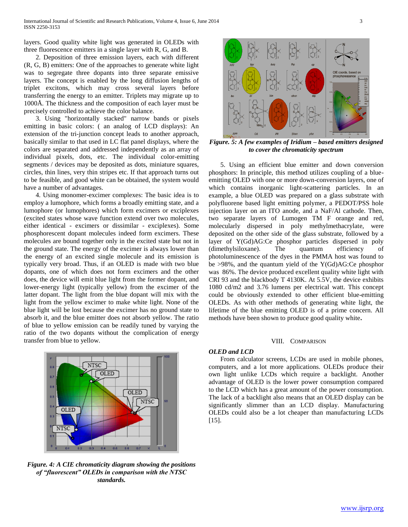layers. Good quality white light was generated in OLEDs with three fluorescence emitters in a single layer with R, G, and B.

 2. Deposition of three emission layers, each with different (R, G, B) emitters: One of the approaches to generate white light was to segregate three dopants into three separate emissive layers. The concept is enabled by the long diffusion lengths of triplet excitons, which may cross several layers before transferring the energy to an emitter. Triplets may migrate up to 1000Å. The thickness and the composition of each layer must be precisely controlled to achieve the color balance.

 3. Using "horizontally stacked" narrow bands or pixels emitting in basic colors: ( an analog of LCD displays): An extension of the tri-junction concept leads to another approach, basically similar to that used in LC flat panel displays, where the colors are separated and addressed independently as an array of individual pixels, dots, etc. The individual color-emitting segments / devices may be deposited as dots, miniature squares, circles, thin lines, very thin stripes etc. If that approach turns out to be feasible, and good white can be obtained, the system would have a number of advantages.

 4. Using monomer-excimer complexes: The basic idea is to employ a lumophore, which forms a broadly emitting state, and a lumophore (or lumophores) which form excimers or exciplexes (excited states whose wave function extend over two molecules, either identical - excimers or dissimilar - exciplexes). Some phosphorescent dopant molecules indeed form excimers. These molecules are bound together only in the excited state but not in the ground state. The energy of the excimer is always lower than the energy of an excited single molecule and its emission is typically very broad. Thus, if an OLED is made with two blue dopants, one of which does not form excimers and the other does, the device will emit blue light from the former dopant, and lower-energy light (typically yellow) from the excimer of the latter dopant. The light from the blue dopant will mix with the light from the yellow excimer to make white light. None of the blue light will be lost because the excimer has no ground state to absorb it, and the blue emitter does not absorb yellow. The ratio of blue to yellow emission can be readily tuned by varying the ratio of the two dopants without the complication of energy transfer from blue to yellow.



*Figure. 4: A CIE chromaticity diagram showing the positions of "fluorescent" OLEDs in comparison with the NTSC standards.*



*Figure. 5: A few examples of Iridium – based emitters designed to cover the chromaticity spectrum*

 5. Using an efficient blue emitter and down conversion phosphors: In principle, this method utilizes coupling of a blueemitting OLED with one or more down-conversion layers, one of which contains inorganic light-scattering particles. In an example, a blue OLED was prepared on a glass substrate with polyfluorene based light emitting polymer, a PEDOT/PSS hole injection layer on an ITO anode, and a NaF/Al cathode. Then, two separate layers of Lumogen TM F orange and red, molecularly dispersed in poly methylmethacrylate, were deposited on the other side of the glass substrate, followed by a layer of Y(Gd)AG:Ce phosphor particles dispersed in poly (dimethylsiloxane). The quantum efficiency of photoluminescence of the dyes in the PMMA host was found to be >98%, and the quantum yield of the Y(Gd)AG:Ce phosphor was 86%. The device produced excellent quality white light with CRI 93 and the blackbody T 4130K. At 5.5V, the device exhibits 1080 cd/m2 and 3.76 lumens per electrical watt. This concept could be obviously extended to other efficient blue-emitting OLEDs. As with other methods of generating white light, the lifetime of the blue emitting OLED is of a prime concern. All methods have been shown to produce good quality white**.**

#### VIII. COMPARISON

# *OLED and LCD*

 From calculator screens, LCDs are used in mobile phones, computers, and a lot more applications. OLEDs produce their own light unlike LCDs which require a backlight. Another advantage of OLED is the lower power consumption compared to the LCD which has a great amount of the power consumption. The lack of a backlight also means that an OLED display can be significantly slimmer than an LCD display. Manufacturing OLEDs could also be a lot cheaper than manufacturing LCDs [15].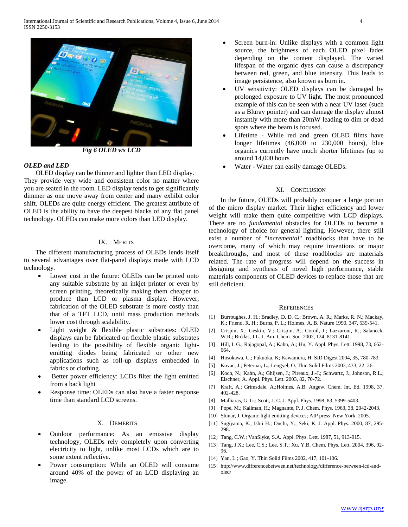

*Fig 6 OLED v/s LCD*

# *OLED and LED*

 OLED display can be thinner and lighter than LED display. They provide very wide and consistent color no matter where you are seated in the room. LED display tends to get significantly dimmer as one move away from center and many exhibit color shift. OLEDs are quite energy efficient. The greatest attribute of OLED is the ability to have the deepest blacks of any flat panel technology. OLEDs can make more colors than LED display.

# IX. MERITS

 The different manufacturing process of OLEDs lends itself to several advantages over flat-panel displays made with LCD technology.

- Lower cost in the future: OLEDs can be printed onto any suitable substrate by an inkjet printer or even by screen printing, theoretically making them cheaper to produce than LCD or plasma display. However, fabrication of the OLED substrate is more costly than that of a TFT LCD, until mass production methods lower cost through scalability.
- Light weight & flexible plastic substrates: OLED displays can be fabricated on flexible plastic substrates leading to the possibility of flexible organic lightemitting diodes being fabricated or other new applications such as roll-up displays embedded in fabrics or clothing.
- Better power efficiency: LCDs filter the light emitted from a back light
- Response time: OLEDs can also have a faster response time than standard LCD screens.

#### X. DEMERITS

- Outdoor performance: As an emissive display technology, OLEDs rely completely upon converting electricity to light, unlike most LCDs which are to some extent reflective.
- Power consumption: While an OLED will consume around 40% of the power of an LCD displaying an image.
- Screen burn-in: Unlike displays with a common light source, the brightness of each OLED pixel fades depending on the content displayed. The varied lifespan of the organic dyes can cause a discrepancy between red, green, and blue intensity. This leads to image persistence, also known as burn in.
- UV sensitivity: OLED displays can be damaged by prolonged exposure to UV light. The most pronounced example of this can be seen with a near UV laser (such as a Bluray pointer) and can damage the display almost instantly with more than 20mW leading to dim or dead spots where the beam is focused.
- Lifetime While red and green OLED films have longer lifetimes (46,000 to 230,000 hours), blue organics currently have much shorter lifetimes (up to around 14,000 hours
- Water Water can easily damage OLEDs.

# XI. CONCLUSION

 In the future, OLEDs will probably conquer a large portion of the micro display market. Their higher efficiency and lower weight will make them quite competitive with LCD displays. There are no *fundamental* obstacles for OLEDs to become a technology of choice for general lighting. However, there still exist a number of "*incremental*" roadblocks that have to be overcome, many of which may require inventions or major breakthroughs, and most of these roadblocks are materials related. The rate of progress will depend on the success in designing and synthesis of novel high performance, stable materials components of OLED devices to replace those that are still deficient.

#### **REFERENCES**

- [1] Burroughes, J. H.; Bradley, D. D. C.; Brown, A. R.; Marks, R. N.; Mackay, K.; Friend, R. H.; Burns, P. L.; Holmes, A. B. Nature 1990, 347, 539-541.
- [2] Crispin, X.; Geskin, V.; Crispin, A.; Cornil, J.; Lazzaroni, R.; Salaneck, W.R.; Brédas, J.L. J. Am. Chem. Soc. 2002, 124, 8131-8141.
- [3] Hill, I. G.; Rajagopal, A.; Kahn, A.; Hu, Y. Appl. Phys. Lett. 1998, 73, 662- 664.
- [4] Hosokawa, C.; Fukuoka, K; Kawamura, H. SID Digest 2004, 35, 780-783.
- [5] Kovac, J.; Peternai, L.; Lengyel, O. Thin Solid Films 2003, 433, 22–26.
- [6] Koch, N.; Kahn, A.; Ghijsen, J.; Pireaux, J.-J.; Schwartz, J.; Johnson, R.L.; Elschner, A. Appl. Phys. Lett. 2003, 82, 70-72.
- [7] Kraft, A.; Grimsdale, A.;Holmes, A.B. Angew. Chem. Int. Ed. 1998, 37, 402-428.
- [8] Malliaras, G. G.; Scott, J. C. J. Appl. Phys. 1998, 83, 5399-5403.
- [9] Pope, M.; Kallman, H.; Magnante, P. J. Chem. Phys. 1963, 38, 2042-2043.
- [10] Shinar, J. Organic light emitting devices; AIP press: New York, 2005.
- [11] Sugiyama, K.; Ishii H.; Ouchi, Y.; Seki, K. J. Appl. Phys. 2000, 87, 295- 298.
- [12] Tang, C.W.; VanSlyke, S.A. Appl. Phys. Lett. 1987, 51, 913-915.
- [13] Tang, J.X.; Lee, C.S.; Lee, S.T.; Xu, Y.B. Chem. Phys. Lett. 2004, 396, 92-96.
- [14] Yan, L.; Gao, Y. Thin Solid Films 2002, 417, 101-106.
- [15] http://www.differencebetween.net/technology/difference-between-lcd-andoled/